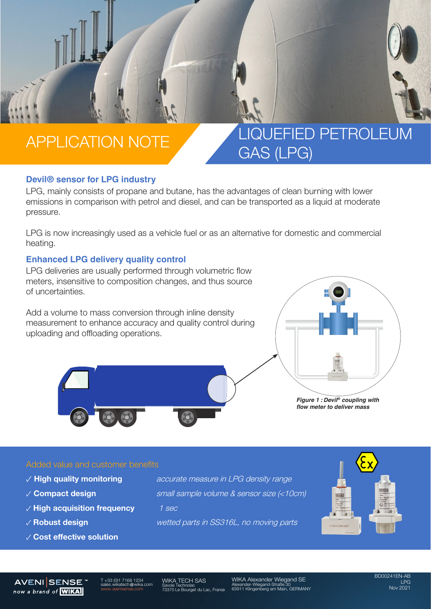## APPLICATION NOTE A LIQUEFIED PETROLEUM GAS (LPG)

### **Devil® sensor for LPG industry**

LPG, mainly consists of propane and butane, has the advantages of clean burning with lower emissions in comparison with petrol and diesel, and can be transported as a liquid at moderate pressure.

LPG is now increasingly used as a vehicle fuel or as an alternative for domestic and commercial heating.

#### **Enhanced LPG delivery quality control**

LPG deliveries are usually performed through volumetric flow meters, insensitive to composition changes, and thus source of uncertainties.

Add a volume to mass conversion through inline density measurement to enhance accuracy and quality control during uploading and offloading operations.



*Figure 1 : Devil® coupling with flow meter to deliver mass*

### Added value and customer benefits

- 
- 
- ✓ **High acquisition frequency** 1 sec
- 
- ✓ **Cost effective solution**

✓ **High quality monitoring** accurate measure in LPG density range ✓ **Compact design** small sample volume & sensor size (<10cm)

✓ **Robust design** wetted parts in SS316L, no moving parts



#### **AVENISENSE** now a brand of **WIKA**

T +33 (0)1 7168 1234 tech@w

WIKA TECH SAS Savoie Technolac 73370 Le Bourget du Lac, France WIKA Alexander Wiegand SE Alexander-Wiegand-Straße 30 63911 Klingenberg am Main, GERMANY

BD00241EN-AB LPG Nov 2021